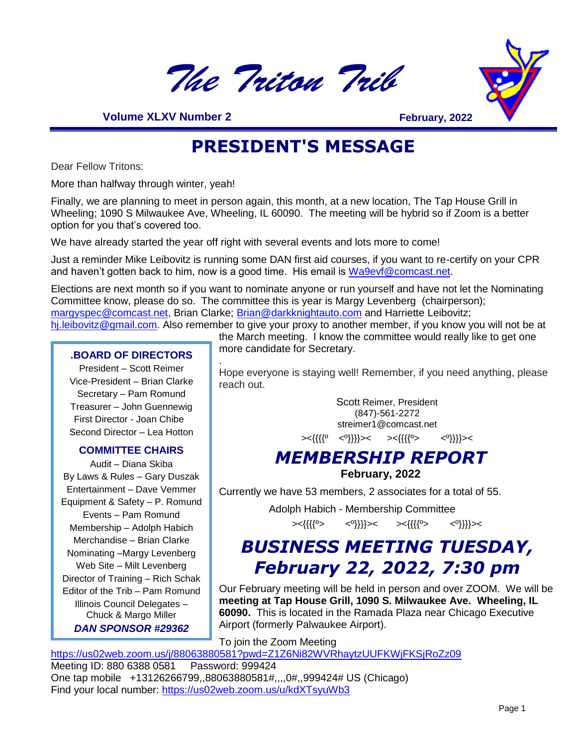

 **Volume XLXV Number 2**

**February, 2022**

### **PRESIDENT'S MESSAGE**

Dear Fellow Tritons:

More than halfway through winter, yeah!

Finally, we are planning to meet in person again, this month, at a new location, The Tap House Grill in Wheeling; 1090 S Milwaukee Ave, Wheeling, IL 60090. The meeting will be hybrid so if Zoom is a better option for you that's covered too.

We have already started the year off right with several events and lots more to come!

Just a reminder Mike Leibovitz is running some DAN first aid courses, if you want to re-certify on your CPR and haven't gotten back to him, now is a good time. His email is [Wa9evf@comcast.net.](mailto:Wa9evf@comcast.net)

Elections are next month so if you want to nominate anyone or run yourself and have not let the Nominating Committee know, please do so. The committee this is year is Margy Levenberg (chairperson); [margyspec@comcast.net,](mailto:margyspec@comcast.net) Brian Clarke; [Brian@darkknightauto.com](mailto:Brian@darkknightauto.com) and Harriette Leibovitz;

[hj.leibovitz@gmail.com.](mailto:hj.leibovitz@gmail.com) Also remember to give your proxy to another member, if you know you will not be at the March meeting. I know the committee would really like to get one

#### **.BOARD OF DIRECTORS**

President – Scott Reimer Vice-President – Brian Clarke Secretary – Pam Romund Treasurer – John Guennewig First Director - Joan Chibe Second Director – Lea Hotton

#### **COMMITTEE CHAIRS**

Audit – Diana Skiba By Laws & Rules – Gary Duszak Entertainment – Dave Vemmer Equipment & Safety – P. Romund Events – Pam Romund Membership – Adolph Habich Merchandise – Brian Clarke Nominating –Margy Levenberg Web Site – Milt Levenberg Director of Training – Rich Schak Editor of the Trib – Pam Romund Illinois Council Delegates – Chuck & Margo Miller *DAN SPONSOR #29362*

more candidate for Secretary. .

Hope everyone is staying well! Remember, if you need anything, please reach out.

> Scott Reimer, President (847)-561-2272 streimer1@comcast.net

><{{{{º <º}}}}>< ><{{{{º> <º}}}}><

#### *MEMBERSHIP REPORT* **February, 2022**

Currently we have 53 members, 2 associates for a total of 55.

 Adolph Habich - Membership Committee ><{{{{º> <º}}}}>< ><{{{{º> <º}}}}><

### *BUSINESS MEETING TUESDAY, February 22, 2022, 7:30 pm*

Our February meeting will be held in person and over ZOOM. We will be **meeting at Tap House Grill, 1090 S. Milwaukee Ave. Wheeling, IL 60090.** This is located in the Ramada Plaza near Chicago Executive Airport (formerly Palwaukee Airport).

To join the Zoom Meeting

<https://us02web.zoom.us/j/88063880581?pwd=Z1Z6Ni82WVRhaytzUUFKWjFKSjRoZz09> Meeting ID: 880 6388 0581 Password: 999424 One tap mobile +13126266799,,88063880581#,,,,0#,,999424# US (Chicago) Find your local number:<https://us02web.zoom.us/u/kdXTsyuWb3>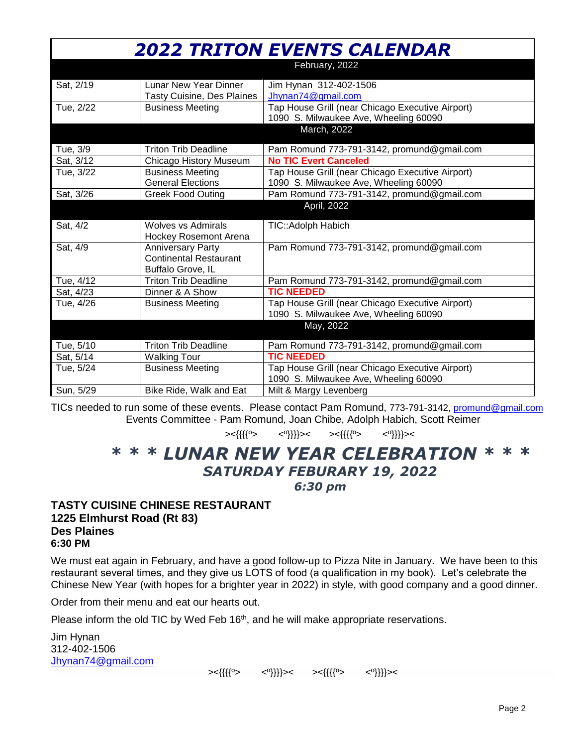| <b>2022 TRITON EVENTS CALENDAR</b> |                                                                                |                                                                                           |  |
|------------------------------------|--------------------------------------------------------------------------------|-------------------------------------------------------------------------------------------|--|
|                                    |                                                                                | February, 2022                                                                            |  |
| Sat, 2/19                          | <b>Lunar New Year Dinner</b><br><b>Tasty Cuisine, Des Plaines</b>              | Jim Hynan 312-402-1506<br>Jhynan74@gmail.com                                              |  |
| Tue, 2/22                          | <b>Business Meeting</b>                                                        | Tap House Grill (near Chicago Executive Airport)<br>1090 S. Milwaukee Ave, Wheeling 60090 |  |
|                                    |                                                                                | March, 2022                                                                               |  |
| Tue, 3/9                           | <b>Triton Trib Deadline</b>                                                    | Pam Romund 773-791-3142, promund@gmail.com                                                |  |
| Sat, 3/12                          | Chicago History Museum                                                         | <b>No TIC Evert Canceled</b>                                                              |  |
| Tue, 3/22                          | <b>Business Meeting</b><br><b>General Elections</b>                            | Tap House Grill (near Chicago Executive Airport)<br>1090 S. Milwaukee Ave, Wheeling 60090 |  |
| Sat, 3/26                          | <b>Greek Food Outing</b>                                                       | Pam Romund 773-791-3142, promund@gmail.com                                                |  |
|                                    |                                                                                | April, 2022                                                                               |  |
| Sat, 4/2                           | <b>Wolves vs Admirals</b><br><b>Hockey Rosemont Arena</b>                      | TIC:: Adolph Habich                                                                       |  |
| Sat, 4/9                           | <b>Anniversary Party</b><br><b>Continental Restaurant</b><br>Buffalo Grove, IL | Pam Romund 773-791-3142, promund@gmail.com                                                |  |
| Tue, 4/12                          | <b>Triton Trib Deadline</b>                                                    | Pam Romund 773-791-3142, promund@gmail.com                                                |  |
| Sat, 4/23                          | Dinner & A Show                                                                | <b>TIC NEEDED</b>                                                                         |  |
| Tue, 4/26                          | <b>Business Meeting</b>                                                        | Tap House Grill (near Chicago Executive Airport)<br>1090 S. Milwaukee Ave, Wheeling 60090 |  |
|                                    |                                                                                | May, 2022                                                                                 |  |
| Tue, 5/10                          | <b>Triton Trib Deadline</b>                                                    | Pam Romund 773-791-3142, promund@gmail.com                                                |  |
| Sat, 5/14                          | <b>Walking Tour</b>                                                            | <b>TIC NEEDED</b>                                                                         |  |
| Tue, 5/24                          | <b>Business Meeting</b>                                                        | Tap House Grill (near Chicago Executive Airport)<br>1090 S. Milwaukee Ave, Wheeling 60090 |  |
| Sun, 5/29                          | Bike Ride, Walk and Eat                                                        | Milt & Margy Levenberg                                                                    |  |

TICs needed to run some of these events. Please contact Pam Romund, 773-791-3142, [promund@gmail.com](mailto:promund@gmail.com) Events Committee - Pam Romund, Joan Chibe, Adolph Habich, Scott Reimer

><{{{{º> <º}}}}>< ><{{{{º> <º}}}}><

### *\* \* \* LUNAR NEW YEAR CELEBRATION \* \* \* SATURDAY FEBURARY 19, 2022*

#### *6:30 pm*

#### **TASTY CUISINE CHINESE RESTAURANT 1225 Elmhurst Road (Rt 83) Des Plaines 6:30 PM**

We must eat again in February, and have a good follow-up to Pizza Nite in January. We have been to this restaurant several times, and they give us LOTS of food (a qualification in my book). Let's celebrate the Chinese New Year (with hopes for a brighter year in 2022) in style, with good company and a good dinner.

Order from their menu and eat our hearts out.

Please inform the old TIC by Wed Feb  $16<sup>th</sup>$ , and he will make appropriate reservations.

Jim Hynan 312-402-1506 [Jhynan74@gmail.com](mailto:Jhynan74@gmail.com)

><{{{{º> <º}}}}>< ><{{{{º> <º}}}}><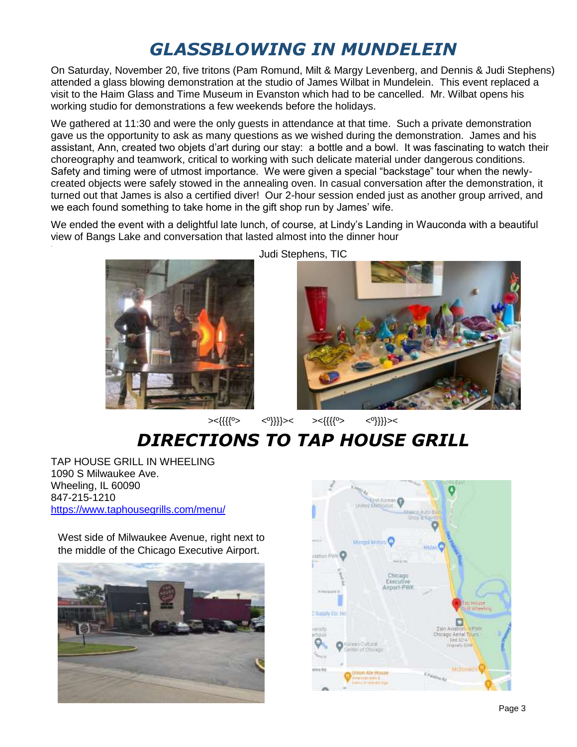### *GLASSBLOWING IN MUNDELEIN*

On Saturday, November 20, five tritons (Pam Romund, Milt & Margy Levenberg, and Dennis & Judi Stephens) attended a glass blowing demonstration at the studio of James Wilbat in Mundelein. This event replaced a visit to the Haim Glass and Time Museum in Evanston which had to be cancelled. Mr. Wilbat opens his working studio for demonstrations a few weekends before the holidays.

We gathered at 11:30 and were the only quests in attendance at that time. Such a private demonstration gave us the opportunity to ask as many questions as we wished during the demonstration. James and his assistant, Ann, created two objets d'art during our stay: a bottle and a bowl. It was fascinating to watch their choreography and teamwork, critical to working with such delicate material under dangerous conditions. Safety and timing were of utmost importance. We were given a special "backstage" tour when the newlycreated objects were safely stowed in the annealing oven. In casual conversation after the demonstration, it turned out that James is also a certified diver! Our 2-hour session ended just as another group arrived, and we each found something to take home in the gift shop run by James' wife.

We ended the event with a delightful late lunch, of course, at Lindy's Landing in Wauconda with a beautiful view of Bangs Lake and conversation that lasted almost into the dinner hour .



Judi Stephens, TIC



><{{{{º> <º}}}}>< ><{{{{º> <º}}}}><

*DIRECTIONS TO TAP HOUSE GRILL*

TAP HOUSE GRILL IN WHEELING 1090 S Milwaukee Ave. Wheeling, IL 60090 847-215-1210 <https://www.taphousegrills.com/menu/>

West side of Milwaukee Avenue, right next to the middle of the Chicago Executive Airport.



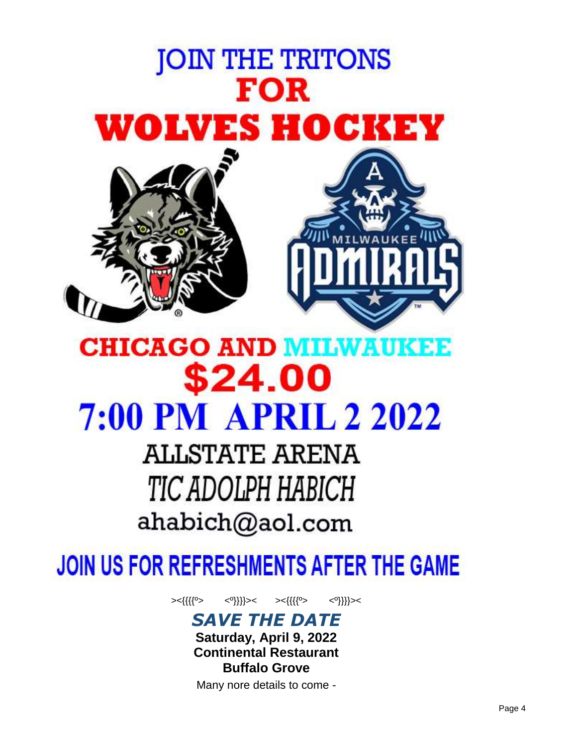

## **CHICAGO AND MILWAUKEE** \$24.00 **7:00 PM APRIL 2 2022**

**ALLSTATE ARENA** TIC ADOLPH HABICH ahabich@aol.com

## JOIN US FOR REFRESHMENTS AFTER THE GAME

><{{{{º> <º}}}}>< ><{{{{º> <º}}}}><

*SAVE THE DATE*

**Saturday, April 9, 2022 Continental Restaurant Buffalo Grove**

Many nore details to come -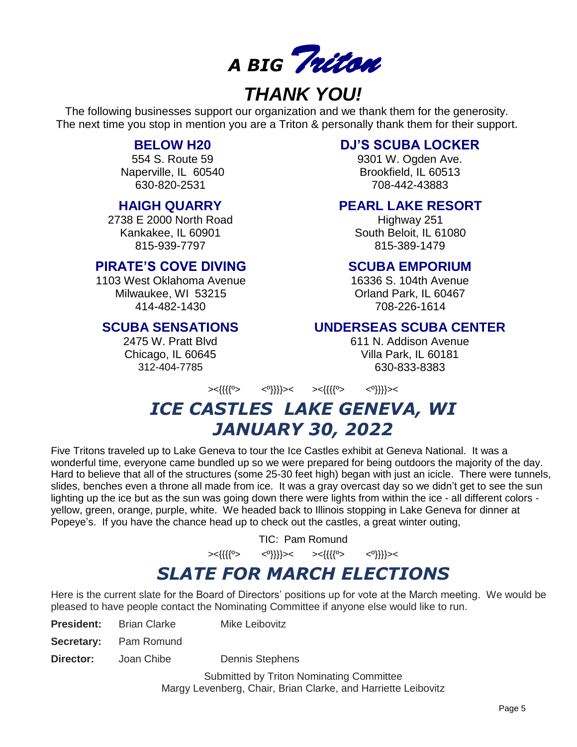

### *THANK YOU!*

The following businesses support our organization and we thank them for the generosity. The next time you stop in mention you are a Triton & personally thank them for their support.

#### **BELOW H20**

554 S. Route 59 Naperville, IL 60540 630-820-2531

#### **HAIGH QUARRY**

2738 E 2000 North Road Kankakee, IL 60901 815-939-7797

#### **PIRATE'S COVE DIVING**

1103 West Oklahoma Avenue Milwaukee, WI 53215 414-482-1430

#### **SCUBA SENSATIONS**

2475 W. Pratt Blvd Chicago, IL 60645 312-404-7785

#### **DJ'S SCUBA LOCKER**

9301 W. Ogden Ave. Brookfield, IL 60513 708-442-43883

#### **PEARL LAKE RESORT**

Highway 251 South Beloit, IL 61080 815-389-1479

#### **SCUBA EMPORIUM**

16336 S. 104th Avenue Orland Park, IL 60467 708-226-1614

#### **UNDERSEAS SCUBA CENTER**

611 N. Addison Avenue Villa Park, IL 60181 630-833-8383

><{{{{º> <º}}}}>< ><{{{{º> <º}}}}><

### *ICE CASTLES LAKE GENEVA, WI JANUARY 30, 2022*

Five Tritons traveled up to Lake Geneva to tour the Ice Castles exhibit at Geneva National. It was a wonderful time, everyone came bundled up so we were prepared for being outdoors the majority of the day. Hard to believe that all of the structures (some 25-30 feet high) began with just an icicle. There were tunnels, slides, benches even a throne all made from ice. It was a gray overcast day so we didn't get to see the sun lighting up the ice but as the sun was going down there were lights from within the ice - all different colors yellow, green, orange, purple, white. We headed back to Illinois stopping in Lake Geneva for dinner at Popeye's. If you have the chance head up to check out the castles, a great winter outing,

TIC: Pam Romund

><{{{{º> <º}}}}>< ><{{{{º> <º}}}}><

#### *SLATE FOR MARCH ELECTIONS* .

Here is the current slate for the Board of Directors' positions up for vote at the March meeting. We would be pleased to have people contact the Nominating Committee if anyone else would like to run.

| <b>President:</b> | - Brian Clarke               | <b>Mike Leibovitz</b> |
|-------------------|------------------------------|-----------------------|
|                   | <b>Secretary:</b> Pam Romund |                       |

**Director:** Joan Chibe Dennis Stephens

Submitted by Triton Nominating Committee Margy Levenberg, Chair, Brian Clarke, and Harriette Leibovitz